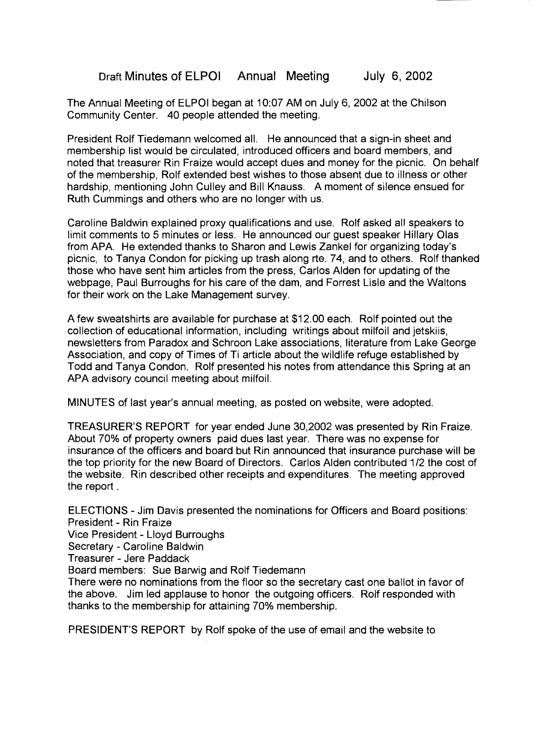Draft Minutes of ELPOI Annual Meeting July 6,2002

The Annual Meeting of ELPOI began at 10:07 AM on July 6, 2002 at the Chilson Community Center. 40 people attended the meeting.

President Rolf Tiedemann welcomed all. He announced that a sign-in sheet and membership list would be circulated, introduced officers and board members, and noted that treasurer Rin Fraize would accept dues and money for the picnic. On behalf of the membership, Rolf extended best wishes to those absent due to illness or other hardship, mentioning John Culley and Bill Knauss. A moment of silence ensued for Ruth Cummings and others who are no longer with us.

Caroline Baldwin explained proxy qualifications and use. Rolf asked all speakers to limit comments to 5 minutes or less. He announced our guest speaker Hillary Olas from APA. He extended thanks to Sharon and Lewis Zankel for organizing today's picnic, to Tanya Condon for picking up trash along rte. 74, and to others. Rolf thanked those who have sent him articles from the press, Carlos Alden for updating of the webpage, Paul Burroughs for his care of the dam, and Forrest Lisle and the Waltons for their work on the Lake Management survey.

A few sweatshirts are available for purchase at \$12.00 each. Rolf pointed out the collection of educational information, including writings about milfoil and jetskiis, newsletters from Paradox and Schroon Lake associations, literature from Lake George Association, and copy of Times of Ti article about the wildlife refuge established by Todd and Tanya Condon. Rolf presented his notes from attendance this Spring at an APA advisory council meeting about milfoil.

MINUTES of last year's annual meeting, as posted on website, were adopted.

TREASURER'S REPORT for year ended June 30,2002 was presented by Rin Fraize. About 70% of property owners paid dues last year. There was no expense for insurance of the officers and board but Rin announced that insurance purchase will be the top priority for the new Board of Directors. Carlos Alden contributed 1/2 the cost of the website. Rin described other receipts and expenditures. The meeting approved the report .

ELECTIONS - Jim Davis presented the nominations for Officers and Board positions: President - Rin Fraize

Vice President - Lloyd Burroughs

Secretary - Caroline Baldwin

Treasurer - Jere Paddack

Board members: Sue Barwig and Rolf Tiedemann

There were no nominations from the floor so the secretary cast one ballot in favor of the above. Jim led applause to honor the outgoing officers. Rolf responded with thanks to the membership for attaining 70% membership.

PRESIDENT'S REPORT by Rolf spoke of the use of email and the website to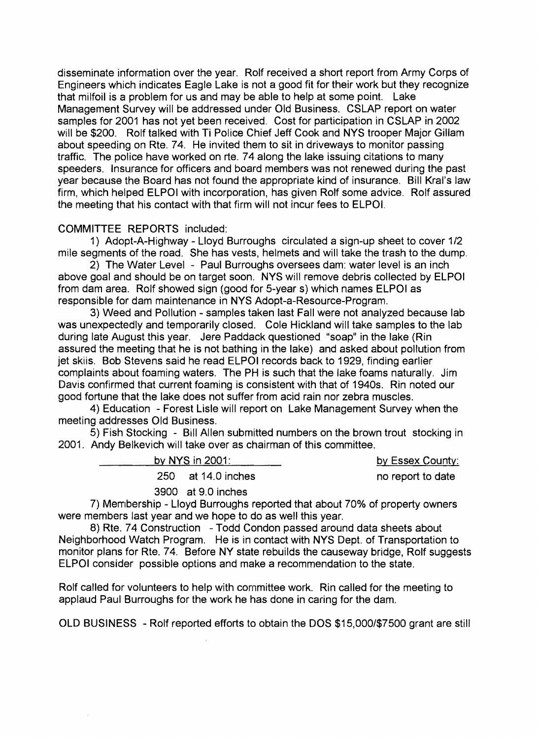disseminate information over the year. Rolf received a short report from Army Corps of Engineers which indicates Eagle Lake is not a good fit for their work but they recognize that milfoil is a problem for us and may be able to help at some point. Lake Management Survey will be addressed under Old Business. CSLAP report on water samples for 2001 has not yet been received. Cost for participation in CSLAP in 2002 will be \$200. Rolf talked with Ti Police Chief Jeff Cook and NYS trooper Major Gillam about speeding on Rte. 74. He invited them to sit in driveways to monitor passing traffic. The police have worked on rte. 74 along the lake issuing citations to many speeders. Insurance for officers and board members was not renewed during the past year because the Board has not found the appropriate kind of insurance. Bill Kral's law firm, which helped ELPOI with incorporation, has given Rolf some advice. Rolf assured the meeting that his contact with that firm will not incur fees to ELPOI.

## COMMITTEE REPORTS included:

1) Adopt-A-Highway - Lloyd Burroughs circulated a sign-up sheet to cover 1/2 mile segments of the road. She has vests, helmets and will take the trash to the dump.

2) The Water Level - Paul Burroughs oversees dam: water level is an inch above goal and should be on target soon. NYS will remove debris collected by ELPOI from dam area. Rolf showed sign (good for 5-year s) which names ELPOI as responsible for dam maintenance in NYS Adopt-a-Resource-Program.

3) Weed and Pollution - samples taken last Fall were not analyzed because lab was unexpectedly and temporarily closed. Cole Hickland will take samples to the lab during late August this year. Jere Paddack questioned "soap" in the lake (Rin assured the meeting that he is not bathing in the lake) and asked about pollution from jet skiis. Bob Stevens said he read ELPOI records back to 1929, finding earlier complaints about foaming waters. The PH is such that the lake foams naturally. Jim Davis confirmed that current foaming is consistent with that of 1940s. Rin noted our good fortune that the lake does not suffer from acid rain nor zebra muscles.

4) Education - Forest Lisle will report on Lake Management Survey when the meeting addresses Old Business.

5) Fish Stocking - Bill Allen submitted numbers on the brown trout stocking in 2001. Andy Belkevich will take over as chairman of this committee.

| by NYS in $2001$ : | by Essex County:  |
|--------------------|-------------------|
| 250 at 14.0 inches | no report to date |
| 3900 at 9.0 inches |                   |

7) Membership - Lloyd Burroughs reported that about 70% of property owners were members last year and we hope to do as well this year.

8) Rte. 74 Construction - Todd Condon passed around data sheets about Neighborhood Watch Program. He is in contact with NYS Dept. of Transportation to monitor plans for Rte. 74. Before NY state rebuilds the causeway bridge, Rolf suggests ELPOI consider possible options and make a recommendation to the state.

Rolf called for volunteers to help with committee work. Rin called for the meeting to applaud Paul Burroughs for the work he has done in caring for the dam.

OLD BUSINESS - Rolf reported efforts to obtain the DOS \$15,000/\$7500 grant are still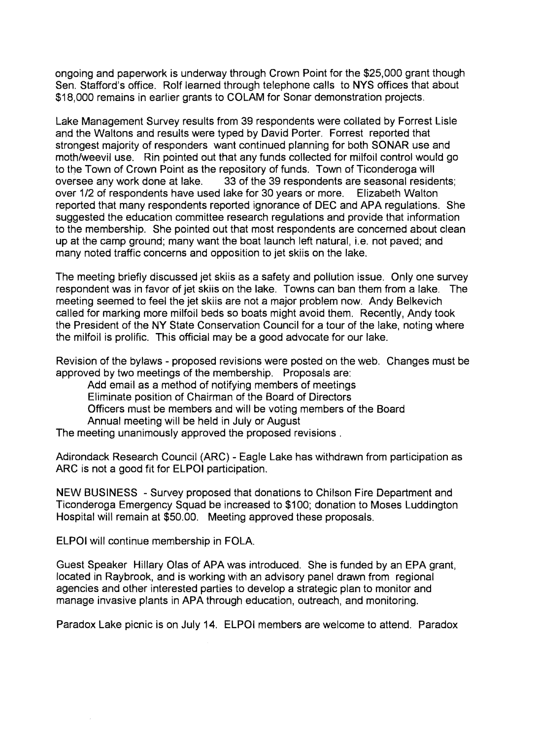ongoing and paperwork is underway through Crown Point for the \$25,000 grant though Sen. Stafford's office. Rolf learned through telephone calls to NYS offices that about \$18,000 remains in earlier grants to COLAM for Sonar demonstration projects.

Lake Management Survey results from 39 respondents were collated by Forrest Lisle and the Waltons and results were typed by David Porter. Forrest reported that strongest majority of responders want continued planning for both SONAR use and moth/weevil use. Rin pointed out that any funds collected for milfoil control would go to the Town of Crown Point as the repository of funds. Town of Ticonderoga will oversee any work done at lake. 33 of the 39 respondents are seasonal reside 33 of the 39 respondents are seasonal residents; over 1/2 of respondents have used lake for 30 years or more. Elizabeth Walton reported that many respondents reported ignorance of DEC and APA regulations. She suggested the education committee research regulations and provide that information to the membership. She pointed out that most respondents are concerned about clean up at the camp ground; many want the boat launch left natural, i.e. not paved; and many noted traffic concerns and opposition to jet skiis on the lake.

The meeting briefly discussed jet skiis as a safety and pollution issue. Only one survey respondent was in favor of jet skiis on the lake. Towns can ban them from a lake. The meeting seemed to feel the jet skiis are not a major problem now. Andy Belkevich called for marking more milfoil beds so boats might avoid them. Recently, Andy took the President of the NY State Conservation Council for a tour of the lake, noting where the milfoil is prolific. This official may be a good advocate for our lake.

Revision of the bylaws - proposed revisions were posted on the web. Changes must be approved by two meetings of the membership. Proposals are:

Add email as a method of notifying members of meetings

Eliminate position of Chairman of the Board of Directors

Officers must be members and will be voting members of the Board

Annual meeting will be held in July or August

The meeting unanimously approved the proposed revisions.

Adirondack Research Council (ARC) - Eagle Lake has withdrawn from participation as ARC is not a good fit for ELPOI participation.

NEW BUSINESS - Survey proposed that donations to Chilson Fire Department and Ticonderoga Emergency Squad be increased to \$100; donation to Moses Luddington Hospital will remain at \$50.00. Meeting approved these proposals.

ELPOI will continue membership in FOLA.

Guest Speaker Hillary Olas of APA was introduced. She is funded by an EPA grant, located in Raybrook, and is working with an advisory panel drawn from regional agencies and other interested parties to develop a strategic plan to monitor and manage invasive plants in APA through education, outreach, and monitoring.

Paradox Lake picnic is on July 14. ELPOI members are welcome to attend. Paradox